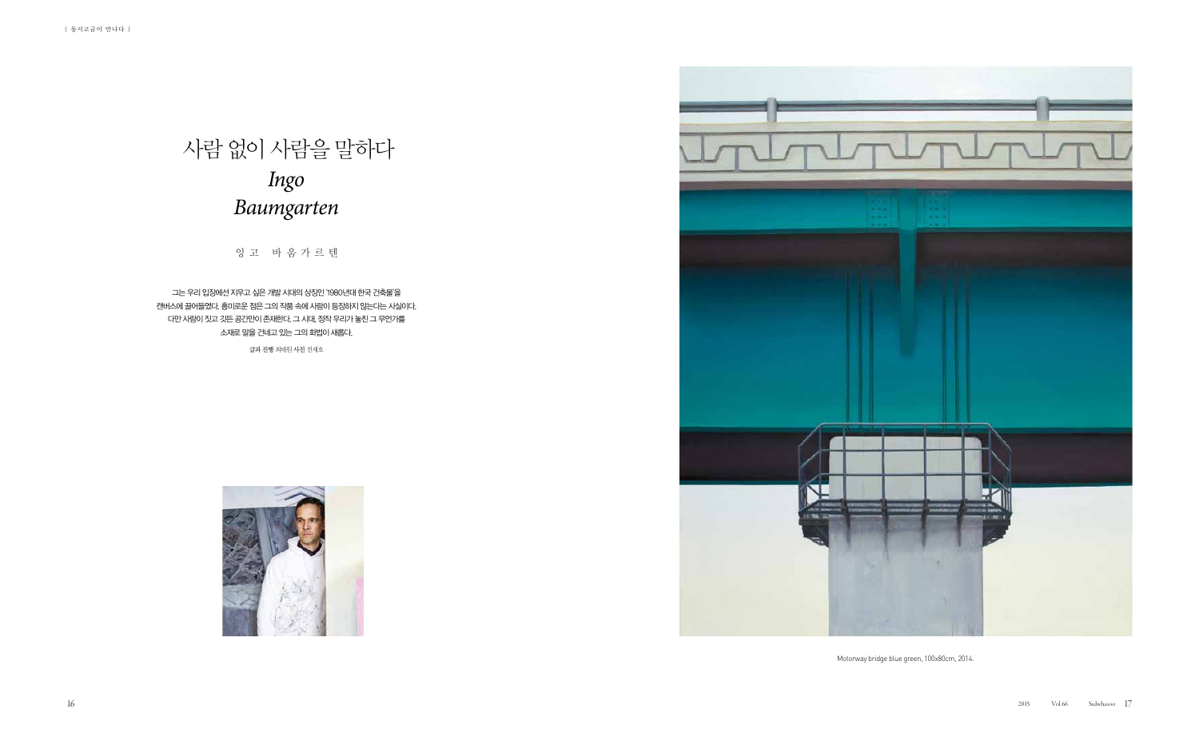Motorway bridge blue green, 100x80cm, 2014.



잉 고 바 움 가 르 텐

그는 우리 입장에선 지우고 싶은 개발 시대의 상징인 '1980년대 한국 건축물'을 캔버스에 끌어들였다. 흥미로운 점은 그의 작품 속에 사람이 등장하지 않는다는 사실이다. 다만 사람이 짓고 깃든 공간만이 존재한다. 그 시대, 정작 우리가 놓친 그 무언가를 소재로 말을 건네고 있는 그의 화법이 새롭다.

## 사람 없이 사람을 말하다 *Ingo Baumgarten*

글과 진행 최태원 사진 전재호

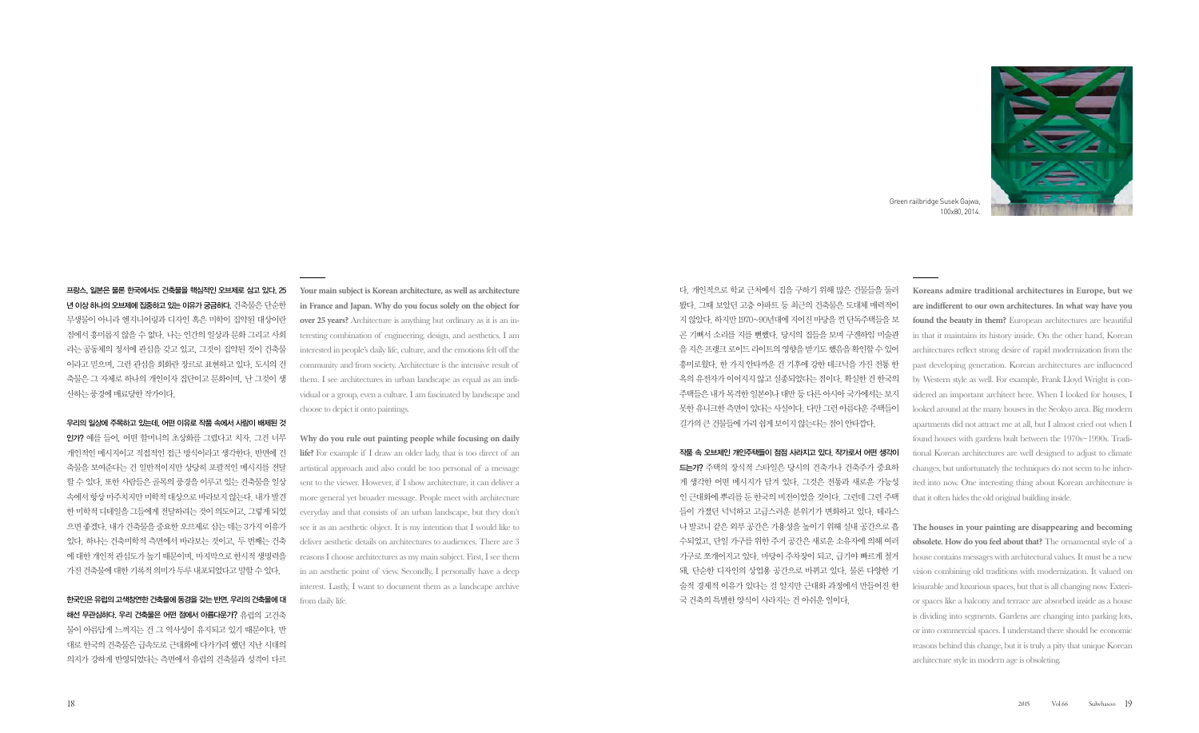프랑스, 일본은 물론 한국에서도 건축물을 핵심적인 오브제로 삼고 있다. 25 년 이상 하나의 오브제에 집중하고 있는 이유가 궁금하다. 건축물은 단순한 무생물이 아니라 엔지니어링과 디자인 혹은 미학이 집약된 대상이란 점에서 흥미롭지 않을 수 없다. 나는 인간의 일상과 문화 그리고 사회 라는 공동체의 정서에 관심을 갖고 있고, 그것이 집약된 것이 건축물 이라고 믿으며, 그런 관심을 회화란 장르로 표현하고 있다. 도시의 건 축물은 그 자체로 하나의 개인이자 집단이고 문화이며, 난 그것이 생 산하는 풍경에 매료당한 작가이다.

## 우리의 일상에 주목하고 있는데, 어떤 이유로 작품 속에서 사람이 배제된 것

인가? 예를 들어, 어떤 할머니의 초상화를 그렸다고 치자. 그건 너무 개인적인 메시지이고 직접적인 접근 방식이라고 생각한다. 반면에 건 축물을 보여준다는 건 일반적이지만 상당히 포괄적인 메시지를 전달 할 수 있다. 또한 사람들은 골목의 풍경을 이루고 있는 건축물을 일상 속에서 항상 마주치지만 미학적 대상으로 바라보지 않는다. 내가 발견 한 미학적 디테일을 그들에게 전달하려는 것이 의도이고, 그렇게 되었 으면 좋겠다. 내가 건축물을 중요한 오브제로 삼는 데는 3가지 이유가 있다. 하나는 건축미학적 측면에서 바라보는 것이고, 두 번째는 건축 에 대한 개인적 관심도가 높기 때문이며, 마지막으로 한시적 생명력을 가진 건축물에 대한 기록적 의미가 두루 내포되었다고 말할 수 있다.

한국인은 유럽의 고색창연한 건축물에 동경을 갖는 반면, 우리의 건축물에 대 해선 무관심하다. 우리 건축물은 어떤 점에서 아름다운가? 유럽의 고건축 물이 아름답게 느껴지는 건 그 역사성이 유지되고 있기 때문이다. 반 대로 한국의 건축물은 급속도로 근대화에 다가가려 했던 지난 시대의 의지가 강하게 반영되었다는 측면에서 유럽의 건축물과 성격이 다르

다. 개인적으로 학교 근처에서 집을 구하기 위해 많은 건물들을 둘러 봤다. 그때 보았던 고층 아파트 등 최근의 건축물은 도대체 매력적이 지 않았다. 하지만 1970~90년대에 지어진 마당을 낀 단독주택들을 보 곤 기뻐서 소리를 지를 뻔했다. 당시의 집들을 보며 구겐하임 미술관 을 지은 프랭크 로이드 라이트의 영향을 받기도 했음을 확인할 수 있어 흥미로웠다. 한 가지 안타까운 건 기후에 강한 테크닉을 가진 전통 한 옥의 유전자가 이어지지 않고 실종되었다는 점이다. 확실한 건 한국의 주택들은 내가 목격한 일본이나 대만 등 다른 아시아 국가에서는 보지 못한 유니크한 측면이 있다는 사실이다. 다만 그런 아름다운 주택들이 길가의 큰 건물들에 가려 쉽게 보이지 않는다는 점이 안타깝다.

## 작품 속 오브제인 개인주택들이 점점 사라지고 있다. 작가로서 어떤 생각이

드는가? 주택의 장식적 스타일은 당시의 건축가나 건축주가 중요하 게 생각한 어떤 메시지가 담겨 있다. 그것은 전통과 새로운 가능성 인 근대화에 뿌리를 둔 한국의 비전이었을 것이다. 그런데 그런 주택 들이 가졌던 넉넉하고 고급스러운 분위기가 변화하고 있다. 테라스 나 발코니 같은 외부 공간은 가용성을 높이기 위해 실내 공간으로 흡 수되었고, 단일 가구를 위한 주거 공간은 새로운 소유자에 의해 여러 가구로 쪼개어지고 있다. 마당이 주차장이 되고, 급기야 빠르게 철거 돼, 단순한 디자인의 상업용 공간으로 바뀌고 있다. 물론 다양한 기 술적 경제적 이유가 있다는 걸 알지만 근대화 과정에서 만들어진 한 국 건축의 특별한 양식이 사라지는 건 아쉬운 일이다.

**Your main subject is Korean architecture, as well as architecture in France and Japan. Why do you focus solely on the object for over 25 years?** Architecture is anything but ordinary as it is an interesting combination of engineering, design, and aesthetics. I am interested in people's daily life, culture, and the emotions felt off the community and from society. Architecture is the intensive result of them. I see architectures in urban landscape as equal as an individual or a group, even a culture. I am fascinated by landscape and choose to depict it onto paintings.

**Why do you rule out painting people while focusing on daily life?** For example if I draw an older lady, that is too direct of an artistical approach and also could be too personal of a message sent to the viewer. However, if I show architecture, it can deliver a more general yet broader message. People meet with architecture everyday and that consists of an urban landscape, but they don't see it as an aesthetic object. It is my intention that I would like to deliver aesthetic details on architectures to audiences. There are 3 reasons I choose architectures as my main subject. First, I see them in an aesthetic point of view. Secondly, I personally have a deep interest. Lastly, I want to document them as a landscape archive from daily life.

**Koreans admire traditional architectures in Europe, but we are indifferent to our own architectures. In what way have you found the beauty in them?** European architectures are beautiful in that it maintains its history inside. On the other hand, Korean architectures reflect strong desire of rapid modernization from the past developing generation. Korean architectures are influenced by Western style as well. For example, Frank Lloyd Wright is considered an important architect here. When I looked for houses, I looked around at the many houses in the Seokyo area. Big modern apartments did not attract me at all, but I almost cried out when I found houses with gardens built between the 1970s~1990s. Traditional Korean architectures are well designed to adjust to climate changes, but unfortunately the techniques do not seem to be inherited into now. One interesting thing about Korean architecture is that it often hides the old original building inside.

**The houses in your painting are disappearing and becoming obsolete. How do you feel about that?** The ornamental style of a house contains messages with architectural values. It must be a new vision combining old traditions with modernization. It valued on leisurable and luxurious spaces, but that is all changing now. Exterior spaces like a balcony and terrace are absorbed inside as a house is dividing into segments. Gardens are changing into parking lots, or into commercial spaces. I understand there should be economic reasons behind this change, but it is truly a pity that unique Korean architecture style in modern age is obsoleting.



Green railbridge Susek Gajwa, 100x80, 2014.